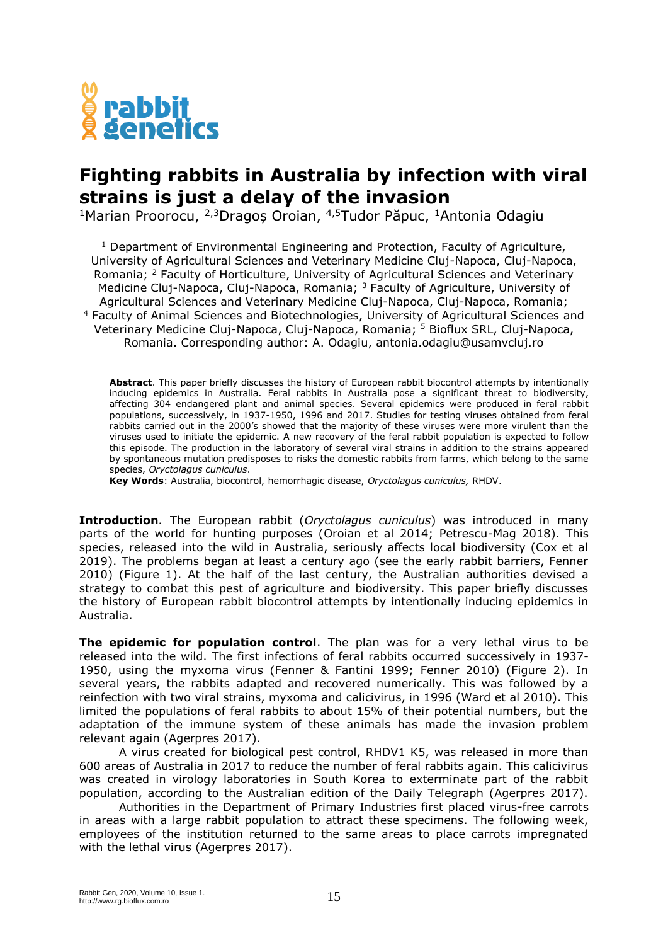

## **Fighting rabbits in Australia by infection with viral strains is just a delay of the invasion**

<sup>1</sup>Marian Proorocu, <sup>2,3</sup>Dragos Oroian, <sup>4,5</sup>Tudor Păpuc, <sup>1</sup>Antonia Odagiu

<sup>1</sup> Department of Environmental Engineering and Protection, Faculty of Agriculture, University of Agricultural Sciences and Veterinary Medicine Cluj-Napoca, Cluj-Napoca, Romania; <sup>2</sup> Faculty of Horticulture, University of Agricultural Sciences and Veterinary Medicine Cluj-Napoca, Cluj-Napoca, Romania; <sup>3</sup> Faculty of Agriculture, University of Agricultural Sciences and Veterinary Medicine Cluj-Napoca, Cluj-Napoca, Romania; <sup>4</sup> Faculty of Animal Sciences and Biotechnologies, University of Agricultural Sciences and Veterinary Medicine Cluj-Napoca, Cluj-Napoca, Romania; <sup>5</sup> Bioflux SRL, Cluj-Napoca, Romania. Corresponding author: A. Odagiu, antonia.odagiu@usamvcluj.ro

**Abstract**. This paper briefly discusses the history of European rabbit biocontrol attempts by intentionally inducing epidemics in Australia. Feral rabbits in Australia pose a significant threat to biodiversity, affecting 304 endangered plant and animal species. Several epidemics were produced in feral rabbit populations, successively, in 1937-1950, 1996 and 2017. Studies for testing viruses obtained from feral rabbits carried out in the 2000's showed that the majority of these viruses were more virulent than the viruses used to initiate the epidemic. A new recovery of the feral rabbit population is expected to follow this episode. The production in the laboratory of several viral strains in addition to the strains appeared by spontaneous mutation predisposes to risks the domestic rabbits from farms, which belong to the same species, *Oryctolagus cuniculus*.

**Key Words**: Australia, biocontrol, hemorrhagic disease, *Oryctolagus cuniculus,* RHDV.

**Introduction***.* The European rabbit (*Oryctolagus cuniculus*) was introduced in many parts of the world for hunting purposes (Oroian et al 2014; Petrescu-Mag 2018). This species, released into the wild in Australia, seriously affects local biodiversity (Cox et al 2019). The problems began at least a century ago (see the early rabbit barriers, Fenner 2010) (Figure 1). At the half of the last century, the Australian authorities devised a strategy to combat this pest of agriculture and biodiversity. This paper briefly discusses the history of European rabbit biocontrol attempts by intentionally inducing epidemics in Australia.

**The epidemic for population control**. The plan was for a very lethal virus to be released into the wild. The first infections of feral rabbits occurred successively in 1937- 1950, using the myxoma virus (Fenner & Fantini 1999; Fenner 2010) (Figure 2). In several years, the rabbits adapted and recovered numerically. This was followed by a reinfection with two viral strains, myxoma and calicivirus, in 1996 (Ward et al 2010). This limited the populations of feral rabbits to about 15% of their potential numbers, but the adaptation of the immune system of these animals has made the invasion problem relevant again (Agerpres 2017).

A virus created for biological pest control, RHDV1 K5, was released in more than 600 areas of Australia in 2017 to reduce the number of feral rabbits again. This calicivirus was created in virology laboratories in South Korea to exterminate part of the rabbit population, according to the Australian edition of the Daily Telegraph (Agerpres 2017).

Authorities in the Department of Primary Industries first placed virus-free carrots in areas with a large rabbit population to attract these specimens. The following week, employees of the institution returned to the same areas to place carrots impregnated with the lethal virus (Agerpres 2017).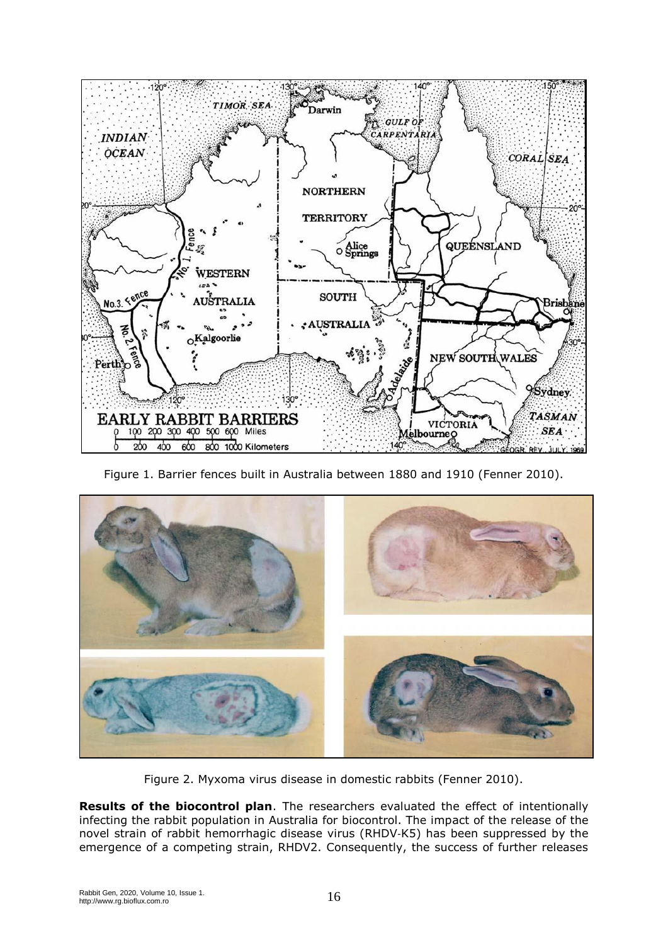

Figure 1. Barrier fences built in Australia between 1880 and 1910 (Fenner 2010).



Figure 2. Myxoma virus disease in domestic rabbits (Fenner 2010).

**Results of the biocontrol plan**. The researchers evaluated the effect of intentionally infecting the rabbit population in Australia for biocontrol. The impact of the release of the novel strain of rabbit hemorrhagic disease virus (RHDV‐K5) has been suppressed by the emergence of a competing strain, RHDV2. Consequently, the success of further releases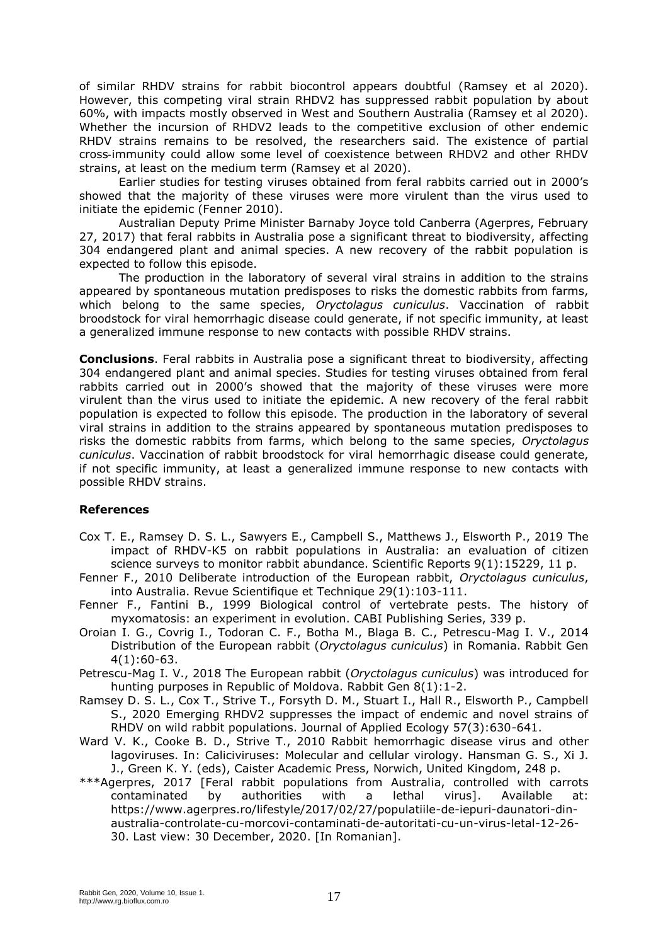of similar RHDV strains for rabbit biocontrol appears doubtful (Ramsey et al 2020). However, this competing viral strain RHDV2 has suppressed rabbit population by about 60%, with impacts mostly observed in West and Southern Australia (Ramsey et al 2020). Whether the incursion of RHDV2 leads to the competitive exclusion of other endemic RHDV strains remains to be resolved, the researchers said. The existence of partial cross‐immunity could allow some level of coexistence between RHDV2 and other RHDV strains, at least on the medium term (Ramsey et al 2020).

Earlier studies for testing viruses obtained from feral rabbits carried out in 2000's showed that the majority of these viruses were more virulent than the virus used to initiate the epidemic (Fenner 2010).

Australian Deputy Prime Minister Barnaby Joyce told Canberra (Agerpres, February 27, 2017) that feral rabbits in Australia pose a significant threat to biodiversity, affecting 304 endangered plant and animal species. A new recovery of the rabbit population is expected to follow this episode.

The production in the laboratory of several viral strains in addition to the strains appeared by spontaneous mutation predisposes to risks the domestic rabbits from farms, which belong to the same species, *Oryctolagus cuniculus*. Vaccination of rabbit broodstock for viral hemorrhagic disease could generate, if not specific immunity, at least a generalized immune response to new contacts with possible RHDV strains.

**Conclusions**. Feral rabbits in Australia pose a significant threat to biodiversity, affecting 304 endangered plant and animal species. Studies for testing viruses obtained from feral rabbits carried out in 2000's showed that the majority of these viruses were more virulent than the virus used to initiate the epidemic. A new recovery of the feral rabbit population is expected to follow this episode. The production in the laboratory of several viral strains in addition to the strains appeared by spontaneous mutation predisposes to risks the domestic rabbits from farms, which belong to the same species, *Oryctolagus cuniculus*. Vaccination of rabbit broodstock for viral hemorrhagic disease could generate, if not specific immunity, at least a generalized immune response to new contacts with possible RHDV strains.

## **References**

- Cox T. E., Ramsey D. S. L., Sawyers E., Campbell S., Matthews J., Elsworth P., 2019 The impact of RHDV-K5 on rabbit populations in Australia: an evaluation of citizen science surveys to monitor rabbit abundance. Scientific Reports 9(1):15229, 11 p.
- Fenner F., 2010 Deliberate introduction of the European rabbit, *Oryctolagus cuniculus*, into Australia. Revue Scientifique et Technique 29(1):103-111.
- Fenner F., Fantini B., 1999 Biological control of vertebrate pests. The history of myxomatosis: an experiment in evolution. CABI Publishing Series, 339 p.
- Oroian I. G., Covrig I., Todoran C. F., Botha M., Blaga B. C., Petrescu-Mag I. V., 2014 Distribution of the European rabbit (*Oryctolagus cuniculus*) in Romania. Rabbit Gen 4(1):60-63.
- Petrescu-Mag I. V., 2018 The European rabbit (*Oryctolagus cuniculus*) was introduced for hunting purposes in Republic of Moldova. Rabbit Gen 8(1):1-2.
- Ramsey D. S. L., Cox T., Strive T., Forsyth D. M., Stuart I., Hall R., Elsworth P., Campbell S., 2020 Emerging RHDV2 suppresses the impact of endemic and novel strains of RHDV on wild rabbit populations. Journal of Applied Ecology 57(3):630-641.
- Ward V. K., Cooke B. D., Strive T., 2010 Rabbit hemorrhagic disease virus and other lagoviruses. In: Caliciviruses: Molecular and cellular virology. Hansman G. S., Xi J. J., Green K. Y. (eds), Caister Academic Press, Norwich, United Kingdom, 248 p.
- \*\*\*Agerpres, 2017 [Feral rabbit populations from Australia, controlled with carrots contaminated by authorities with a lethal virus]. Available at: https://www.agerpres.ro/lifestyle/2017/02/27/populatiile-de-iepuri-daunatori-dinaustralia-controlate-cu-morcovi-contaminati-de-autoritati-cu-un-virus-letal-12-26- 30. Last view: 30 December, 2020. [In Romanian].